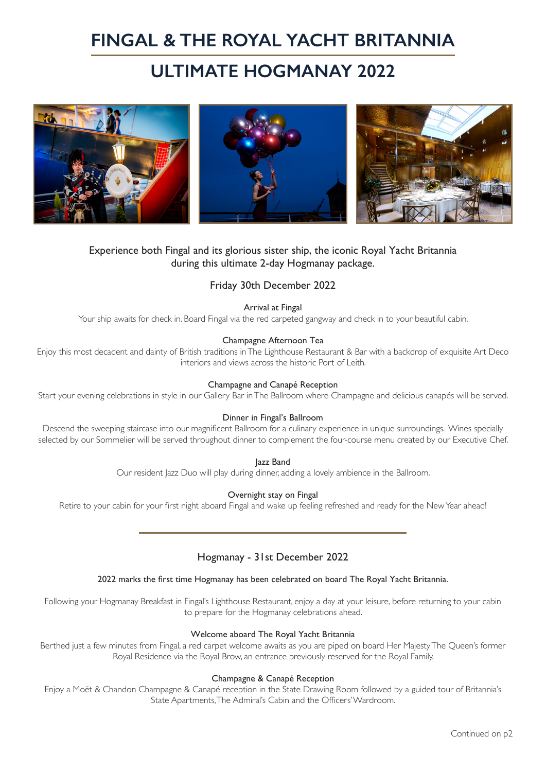# **FINGAL & THE ROYAL YACHT BRITANNIA**

# **ULTIMATE HOGMANAY 2022**



Experience both Fingal and its glorious sister ship, the iconic Royal Yacht Britannia during this ultimate 2-day Hogmanay package.

## Friday 30th December 2022

Arrival at Fingal

Your ship awaits for check in. Board Fingal via the red carpeted gangway and check in to your beautiful cabin.

## Champagne Afternoon Tea

Enjoy this most decadent and dainty of British traditions in The Lighthouse Restaurant & Bar with a backdrop of exquisite Art Deco interiors and views across the historic Port of Leith.

## Champagne and Canapé Reception

Start your evening celebrations in style in our Gallery Bar in The Ballroom where Champagne and delicious canapés will be served.

## Dinner in Fingal's Ballroom

Descend the sweeping staircase into our magnificent Ballroom for a culinary experience in unique surroundings. Wines specially selected by our Sommelier will be served throughout dinner to complement the four-course menu created by our Executive Chef.

Jazz Band

Our resident Jazz Duo will play during dinner, adding a lovely ambience in the Ballroom.

## Overnight stay on Fingal

Retire to your cabin for your first night aboard Fingal and wake up feeling refreshed and ready for the New Year ahead!

# Hogmanay - 31st December 2022

## 2022 marks the first time Hogmanay has been celebrated on board The Royal Yacht Britannia.

Following your Hogmanay Breakfast in Fingal's Lighthouse Restaurant, enjoy a day at your leisure, before returning to your cabin to prepare for the Hogmanay celebrations ahead.

## Welcome aboard The Royal Yacht Britannia

Berthed just a few minutes from Fingal, a red carpet welcome awaits as you are piped on board Her Majesty The Queen's former Royal Residence via the Royal Brow, an entrance previously reserved for the Royal Family.

## Champagne & Canapé Reception

Enjoy a Moët & Chandon Champagne & Canapé reception in the State Drawing Room followed by a guided tour of Britannia's State Apartments, The Admiral's Cabin and the Officers' Wardroom.